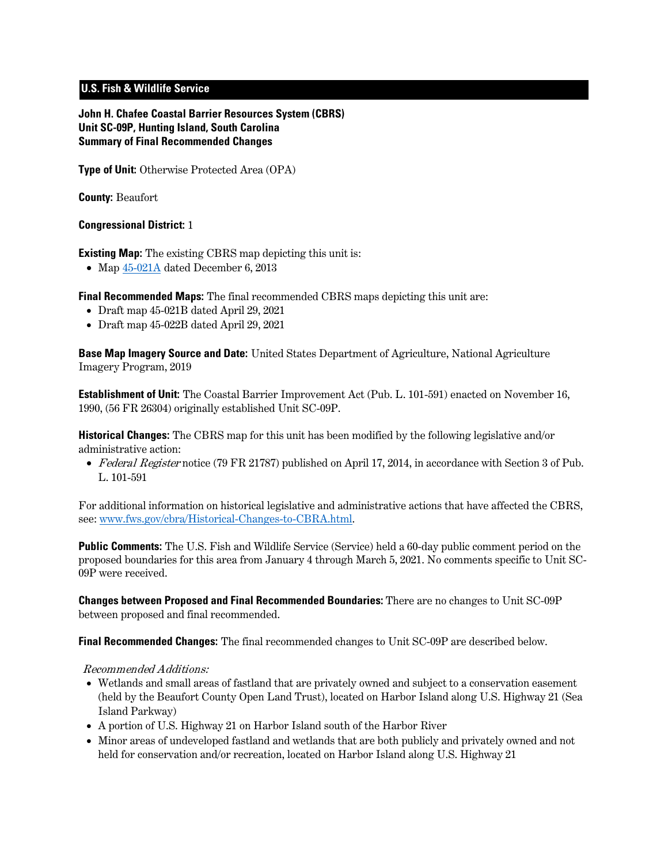# **U.S. Fish & Wildlife Service**

**John H. Chafee Coastal Barrier Resources System (CBRS) Unit SC-09P, Hunting Island, South Carolina Summary of Final Recommended Changes**

**Type of Unit:** Otherwise Protected Area (OPA)

**County:** Beaufort

### **Congressional District:** 1

**Existing Map:** The existing CBRS map depicting this unit is:

• Map  $45-021A$  dated December 6, 2013

**Final Recommended Maps:** The final recommended CBRS maps depicting this unit are:

- Draft map [45-021B](https://www.fws.gov/cbra/projects/technical-corrections/Final-Recommended-45-021B.pdf) dated April 29, 2021
- Draft map [45-022B](https://www.fws.gov/cbra/projects/technical-corrections/Final-Recommended-45-022B.pdf) dated April 29, 2021

**Base Map Imagery Source and Date:** United States Department of Agriculture, National Agriculture Imagery Program, 2019

**Establishment of Unit:** The Coastal Barrier Improvement Act (Pub. L. 101-591) enacted on November 16, 1990, (56 FR 26304) originally established Unit SC-09P.

**Historical Changes:** The CBRS map for this unit has been modified by the following legislative and/or administrative action:

• Federal Register notice (79 FR 21787) published on April 17, 2014, in accordance with Section 3 of Pub. L. 101-591

For additional information on historical legislative and administrative actions that have affected the CBRS, see: [www.fws.gov/cbra/Historical-Changes-to-CBRA.html.](http://www.fws.gov/cbra/Historical-Changes-to-CBRA.html)

**Public Comments:** The U.S. Fish and Wildlife Service (Service) held a 60-day public comment period on the proposed boundaries for this area from January 4 through March 5, 2021. No comments specific to Unit SC-09P were received.

**Changes between Proposed and Final Recommended Boundaries:** There are no changes to Unit SC-09P between proposed and final recommended.

**Final Recommended Changes:** The final recommended changes to Unit SC-09P are described below.

#### Recommended Additions:

- Wetlands and small areas of fastland that are privately owned and subject to a conservation easement (held by the Beaufort County Open Land Trust), located on Harbor Island along U.S. Highway 21 (Sea Island Parkway)
- A portion of U.S. Highway 21 on Harbor Island south of the Harbor River
- Minor areas of undeveloped fastland and wetlands that are both publicly and privately owned and not held for conservation and/or recreation, located on Harbor Island along U.S. Highway 21